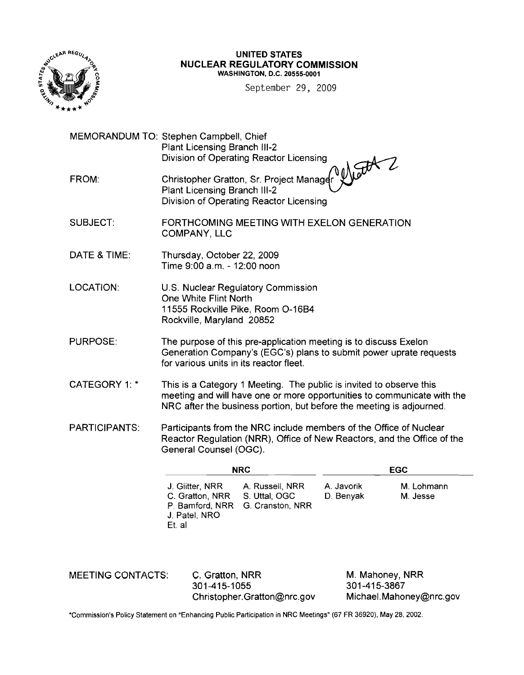

### UNITED STATES NUCLEAR REGULATORY COMMISSION WASHINGTON, D.C. 20555-0001

September 29, 2009

MEMORANDUM TO: Stephen Campbell, Chief Plant Licensing Branch 111-2 Division of Operating Reactor Licensing FROM: Christopher Gratton, Sr. Project Manage Plant Licensing Branch 111-2 Division of Operating Reactor Licensing SUBJECT: FORTHCOMING MEETING WITH EXELON GENERATION COMPANY, LLC DATE & TIME: Thursday, October 22, 2009 Time 9:00 a.m. - 12:00 noon LOCATION: U.S. Nuclear Regulatory Commission One White Flint North 11555 Rockville Pike, Room 0-16B4

Rockville, Maryland 20852

- PURPOSE: The purpose of this pre-application meeting is to discuss Exelon Generation Company's (EGC's) plans to submit power uprate requests for various units in its reactor fleet.
- CATEGORY 1: \* This is a Category 1 Meeting. The public is invited to observe this meeting and will have one or more opportunities to communicate with the NRC after the business portion, but before the meeting is adjourned.
- PARTICIPANTS: Participants from the NRC include members of the Office of Nuclear Reactor Regulation (NRR), Office of New Reactors, and the Office of the General Counsel (OGC).

|                                                                                             | <b>NRC</b>                       | EGC                     |                        |  |
|---------------------------------------------------------------------------------------------|----------------------------------|-------------------------|------------------------|--|
| J. Giitter, NRR A. Russell, NRR<br>C. Gratton, NRR S. Uttal, OGC<br>J. Patel, NRO<br>Et. al | P. Bamford, NRR G. Cranston, NRR | A. Javorik<br>D. Benyak | M. Lohmann<br>M. Jesse |  |

| <b>MEETING CONTACTS:</b> | C. Gratton, NRR             | M. Mahoney, NRR         |
|--------------------------|-----------------------------|-------------------------|
|                          | 301-415-1055                | 301-415-3867            |
|                          | Christopher.Gratton@nrc.gov | Michael.Mahoney@nrc.gov |

'Commission's Policy Statement on "Enhancing Public Participation in NRC Meetings" (67 FR 36920). May 28. 2002.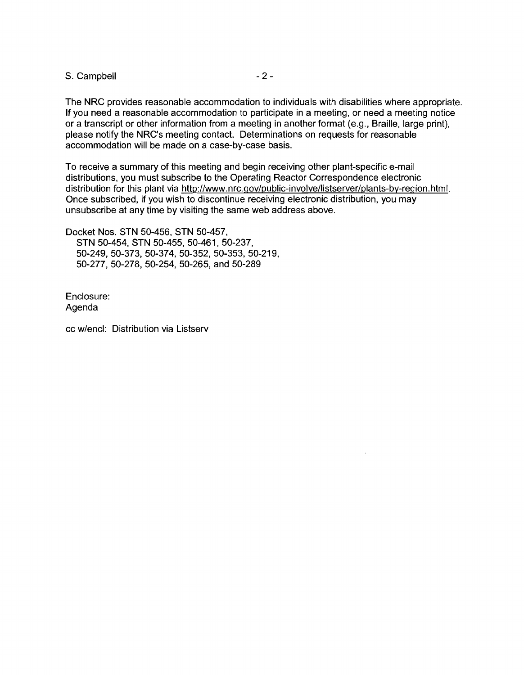S. Campbell **S.** 2 -

The NRC provides reasonable accommodation to individuals with disabilities where appropriate. If you need a reasonable accommodation to participate in a meeting, or need a meeting notice or a transcript or other information from a meeting in another format (e.g., Braille, large print), please notify the NRC's meeting contact. Determinations on requests for reasonable accommodation will be made on a case-by-case basis.

To receive a summary of this meeting and begin receiving other plant-specific e-mail distributions, you must subscribe to the Operating Reactor Correspondence electronic distribution for this plant via http://www.nrc.gov/public-involve/listserver/plants-by-region.html. Once subscribed, if you wish to discontinue receiving electronic distribution, you may unsubscribe at any time by visiting the same web address above.

Docket Nos. STN 50-456, STN 50-457, STN 50-454, STN 50-455, 50-461, 50-237, 50-249,50-373,50-374,50-352,50-353,50-219, 50-277, 50-278, 50-254, 50-265, and 50-289

Enclosure: Agenda

cc w/encl: Distribution via Listserv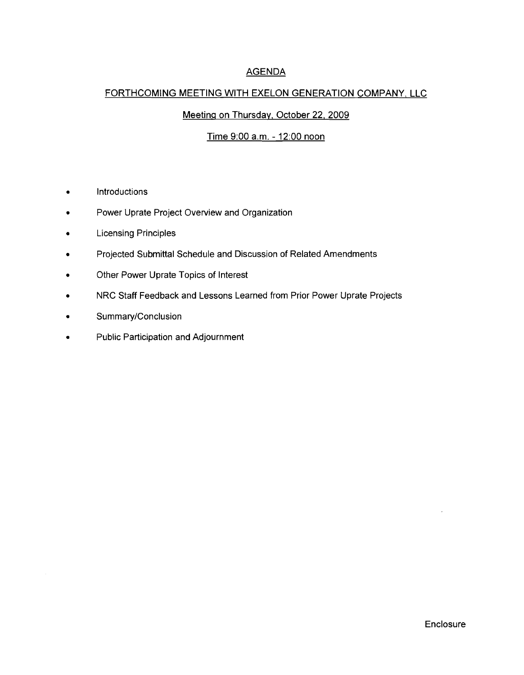# AGENDA

## FORTHCOMING MEETING WITH EXELON GENERATION COMPANY, LLC

# Meeting on Thursday. October 22, 2009

## Time 9:00 a.m. - 12:00 noon

- Introductions
- Power Uprate Project Overview and Organization
- Licensing Principles
- Projected Submittal Schedule and Discussion of Related Amendments
- Other Power Uprate Topics of Interest
- NRC Staff Feedback and Lessons Learned from Prior Power Uprate Projects
- Summary/Conclusion
- Public Participation and Adjournment